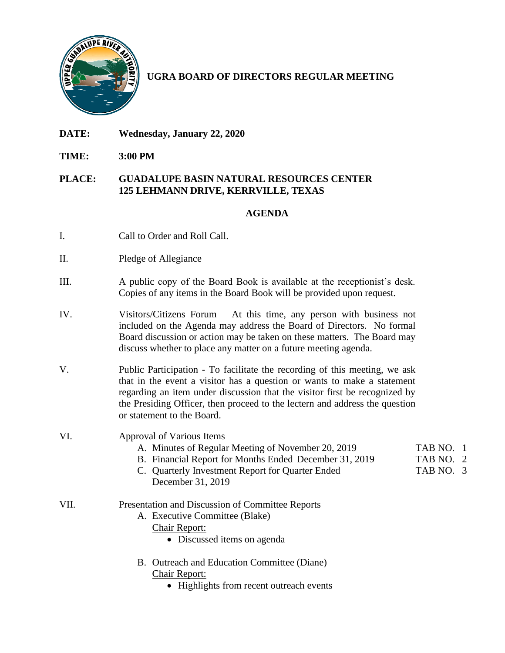

**UGRA BOARD OF DIRECTORS REGULAR MEETING**

- **DATE: Wednesday, January 22, 2020**
- **TIME: 3:00 PM**

## **PLACE: GUADALUPE BASIN NATURAL RESOURCES CENTER 125 LEHMANN DRIVE, KERRVILLE, TEXAS**

## **AGENDA**

- I. Call to Order and Roll Call.
- II. Pledge of Allegiance
- III. A public copy of the Board Book is available at the receptionist's desk. Copies of any items in the Board Book will be provided upon request.
- IV. Visitors/Citizens Forum At this time, any person with business not included on the Agenda may address the Board of Directors. No formal Board discussion or action may be taken on these matters. The Board may discuss whether to place any matter on a future meeting agenda.
- V. Public Participation To facilitate the recording of this meeting, we ask that in the event a visitor has a question or wants to make a statement regarding an item under discussion that the visitor first be recognized by the Presiding Officer, then proceed to the lectern and address the question or statement to the Board.
- VI. Approval of Various Items
	- A. Minutes of Regular Meeting of November 20, 2019 TAB NO. 1
	- B. Financial Report for Months Ended December 31, 2019 TAB NO. 2
	- C. Quarterly Investment Report for Quarter Ended TAB NO. 3 December 31, 2019

## VII. Presentation and Discussion of Committee Reports

- A. Executive Committee (Blake)
	- Chair Report:
		- Discussed items on agenda
- B. Outreach and Education Committee (Diane) Chair Report:
	- Highlights from recent outreach events
- 
- 
- 
- 
-